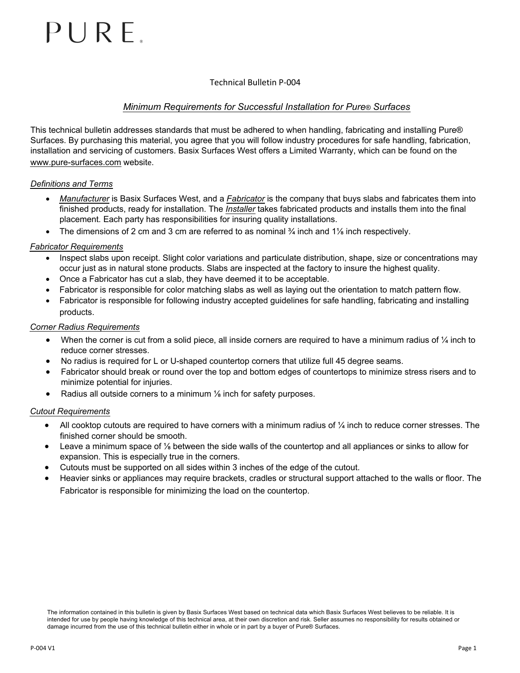# $PIRRF$

## Technical Bulletin P-004

# *Minimum Requirements for Successful Installation for Pure® Surfaces*

This technical bulletin addresses standards that must be adhered to when handling, fabricating and installing Pure® Surfaces. By purchasing this material, you agree that you will follow industry procedures for safe handling, fabrication, installation and servicing of customers. Basix Surfaces West offers a Limited Warranty, which can be found on the www.pure-surfaces.com website.

## *Definitions and Terms*

- *Manufacturer* is Basix Surfaces West, and a *Fabricator* is the company that buys slabs and fabricates them into finished products, ready for installation. The *Installer* takes fabricated products and installs them into the final placement. Each party has responsibilities for insuring quality installations.
- The dimensions of 2 cm and 3 cm are referred to as nominal  $\frac{3}{4}$  inch and 1% inch respectively.

## *Fabricator Requirements*

- Inspect slabs upon receipt. Slight color variations and particulate distribution, shape, size or concentrations may occur just as in natural stone products. Slabs are inspected at the factory to insure the highest quality.
- Once a Fabricator has cut a slab, they have deemed it to be acceptable.
- Fabricator is responsible for color matching slabs as well as laying out the orientation to match pattern flow.
- Fabricator is responsible for following industry accepted guidelines for safe handling, fabricating and installing products.

## *Corner Radius Requirements*

- When the corner is cut from a solid piece, all inside corners are required to have a minimum radius of  $\frac{1}{4}$  inch to reduce corner stresses.
- No radius is required for L or U-shaped countertop corners that utilize full 45 degree seams.
- Fabricator should break or round over the top and bottom edges of countertops to minimize stress risers and to minimize potential for injuries.
- Radius all outside corners to a minimum 1/8 inch for safety purposes.

#### *Cutout Requirements*

- All cooktop cutouts are required to have corners with a minimum radius of  $\frac{1}{4}$  inch to reduce corner stresses. The finished corner should be smooth.
- Leave a minimum space of ⅛ between the side walls of the countertop and all appliances or sinks to allow for expansion. This is especially true in the corners.
- Cutouts must be supported on all sides within 3 inches of the edge of the cutout.
- Heavier sinks or appliances may require brackets, cradles or structural support attached to the walls or floor. The Fabricator is responsible for minimizing the load on the countertop.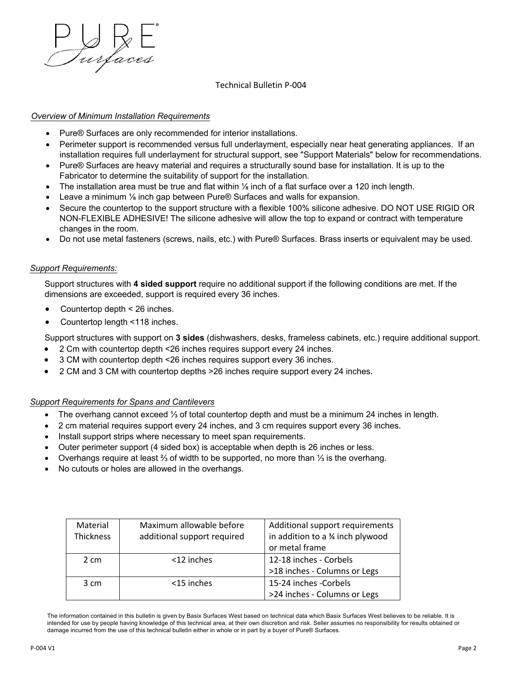

#### Technical Bulletin P-004

## *Overview of Minimum Installation Requirements*

- Pure® Surfaces are only recommended for interior installations.
- Perimeter support is recommended versus full underlayment, especially near heat generating appliances. If an installation requires full underlayment for structural support, see "Support Materials" below for recommendations.
- Pure<sup>®</sup> Surfaces are heavy material and requires a structurally sound base for installation. It is up to the Fabricator to determine the suitability of support for the installation.
- The installation area must be true and flat within ⅛ inch of a flat surface over a 120 inch length.
- Leave a minimum 1/<sub>8</sub> inch gap between Pure® Surfaces and walls for expansion.
- Secure the countertop to the support structure with a flexible 100% silicone adhesive. DO NOT USE RIGID OR NON-FLEXIBLE ADHESIVE! The silicone adhesive will allow the top to expand or contract with temperature changes in the room.
- Do not use metal fasteners (screws, nails, etc.) with Pure® Surfaces. Brass inserts or equivalent may be used.

#### *Support Requirements:*

Support structures with **4 sided support** require no additional support if the following conditions are met. If the dimensions are exceeded, support is required every 36 inches.

- Countertop depth < 26 inches.
- Countertop length <118 inches.

Support structures with support on **3 sides** (dishwashers, desks, frameless cabinets, etc.) require additional support.

- 2 Cm with countertop depth <26 inches requires support every 24 inches.
- 3 CM with countertop depth <26 inches requires support every 36 inches.
- 2 CM and 3 CM with countertop depths >26 inches require support every 24 inches.

#### *Support Requirements for Spans and Cantilevers*

- The overhang cannot exceed ⅓ of total countertop depth and must be a minimum 24 inches in length.
- 2 cm material requires support every 24 inches, and 3 cm requires support every 36 inches.
- Install support strips where necessary to meet span requirements.
- Outer perimeter support (4 sided box) is acceptable when depth is 26 inches or less.
- Overhangs require at least ⅔ of width to be supported, no more than ⅓ is the overhang.
- No cutouts or holes are allowed in the overhangs.

| Material       | Maximum allowable before    | Additional support requirements |
|----------------|-----------------------------|---------------------------------|
| Thickness      | additional support required | in addition to a % inch plywood |
|                |                             | or metal frame                  |
| 2 cm           | <12 inches                  | 12-18 inches - Corbels          |
|                |                             | >18 inches - Columns or Legs    |
| $3 \text{ cm}$ | <15 inches                  | 15-24 inches -Corbels           |
|                |                             | >24 inches - Columns or Legs    |

The information contained in this bulletin is given by Basix Surfaces West based on technical data which Basix Surfaces West believes to be reliable. It is intended for use by people having knowledge of this technical area, at their own discretion and risk. Seller assumes no responsibility for results obtained or damage incurred from the use of this technical bulletin either in whole or in part by a buyer of Pure® Surfaces.